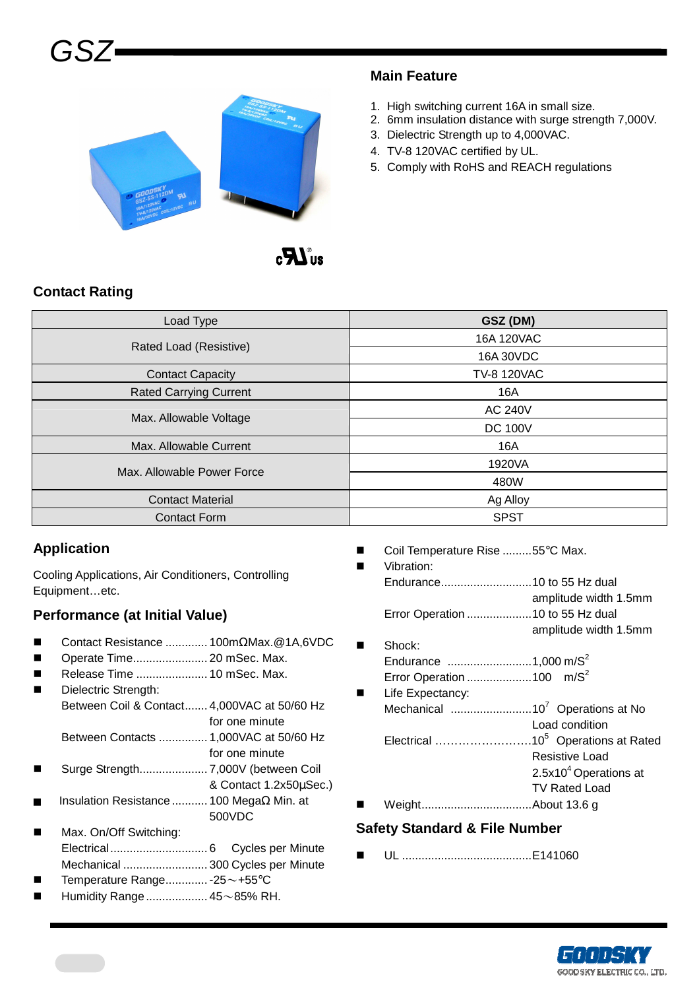

#### **Main Feature**

- 1. High switching current 16A in small size.
- 2. 6mm insulation distance with surge strength 7,000V.
- 3. Dielectric Strength up to 4,000VAC.
- 4. TV-8 120VAC certified by UL.
- 5. Comply with RoHS and REACH regulations

# **Contact Rating**

GSZ

| Load Type                     | GSZ (DM)           |  |  |  |
|-------------------------------|--------------------|--|--|--|
| Rated Load (Resistive)        | 16A 120VAC         |  |  |  |
|                               | 16A 30VDC          |  |  |  |
| <b>Contact Capacity</b>       | <b>TV-8 120VAC</b> |  |  |  |
| <b>Rated Carrying Current</b> | 16A                |  |  |  |
|                               | <b>AC 240V</b>     |  |  |  |
| Max. Allowable Voltage        | <b>DC 100V</b>     |  |  |  |
| Max. Allowable Current        | 16A                |  |  |  |
| Max. Allowable Power Force    | 1920VA             |  |  |  |
|                               | 480W               |  |  |  |
| <b>Contact Material</b>       | Ag Alloy           |  |  |  |
| <b>Contact Form</b>           | <b>SPST</b>        |  |  |  |

## **Application**

Cooling Applications, Air Conditioners, Controlling Equipment…etc.

## **Performance (at Initial Value)**

- Contact Resistance ............. 100mΩMax.@1A,6VDC
- Operate Time....................... 20 mSec. Max.
- Release Time ...................... 10 mSec. Max.
- Dielectric Strength: Between Coil & Contact....... 4,000VAC at 50/60 Hz for one minute Between Contacts ............... 1,000VAC at 50/60 Hz
- for one minute
- Surge Strength..................... 7,000V (between Coil
- & Contact 1.2x50µSec.) Insulation Resistance ........... 100 MegaΩ Min. at
- 500VDC Max. On/Off Switching:
- Electrical.............................. 6 Cycles per Minute Mechanical .......................... 300 Cycles per Minute
- Temperature Range............. -25~+55°C
- Humidity Range................... 45~85% RH.
- Coil Temperature Rise .........55°C Max.
- Vibration: Endurance............................10 to 55 Hz dual amplitude width 1.5mm Error Operation ....................10 to 55 Hz dual amplitude width 1.5mm
- Shock: Endurance  $\ldots$ ............................1,000 m/S<sup>2</sup>
- Error Operation .........................100  $m/S<sup>2</sup>$  Life Expectancy: Mechanical .........................10<sup>7</sup>Operations at No Load condition Electrical …………………………10<sup>5</sup> Operations at Rated Resistive Load  $2.5x10<sup>4</sup>$  Operations at TV Rated Load
- Weight..................................About 13.6 g

#### **Safety Standard & File Number**

UL ........................................E141060